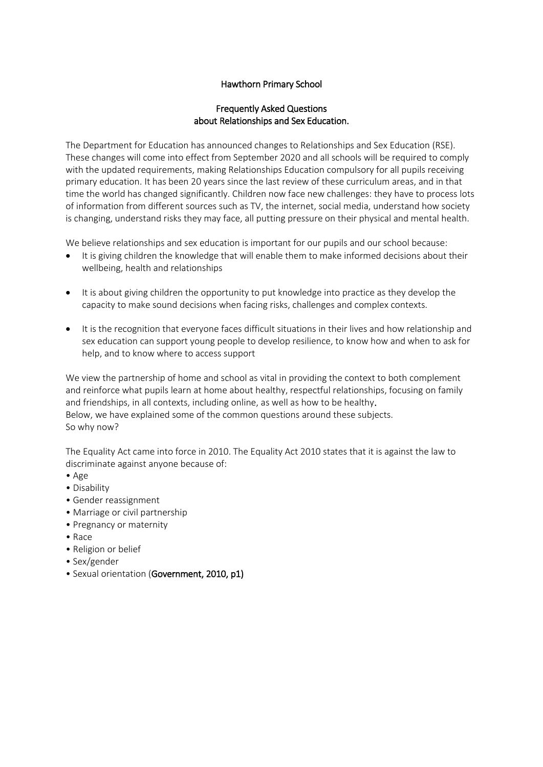# Hawthorn Primary School

### Frequently Asked Questions about Relationships and Sex Education.

The Department for Education has announced changes to Relationships and Sex Education (RSE). These changes will come into effect from September 2020 and all schools will be required to comply with the updated requirements, making Relationships Education compulsory for all pupils receiving primary education. It has been 20 years since the last review of these curriculum areas, and in that time the world has changed significantly. Children now face new challenges: they have to process lots of information from different sources such as TV, the internet, social media, understand how society is changing, understand risks they may face, all putting pressure on their physical and mental health.

We believe relationships and sex education is important for our pupils and our school because:

- It is giving children the knowledge that will enable them to make informed decisions about their wellbeing, health and relationships
- It is about giving children the opportunity to put knowledge into practice as they develop the capacity to make sound decisions when facing risks, challenges and complex contexts.
- It is the recognition that everyone faces difficult situations in their lives and how relationship and sex education can support young people to develop resilience, to know how and when to ask for help, and to know where to access support

We view the partnership of home and school as vital in providing the context to both complement and reinforce what pupils learn at home about healthy, respectful relationships, focusing on family and friendships, in all contexts, including online, as well as how to be healthy. Below, we have explained some of the common questions around these subjects. So why now?

The Equality Act came into force in 2010. The Equality Act 2010 states that it is against the law to discriminate against anyone because of:

- Age
- Disability
- Gender reassignment
- Marriage or civil partnership
- Pregnancy or maternity
- Race
- Religion or belief
- Sex/gender
- Sexual orientation (Government, 2010, p1)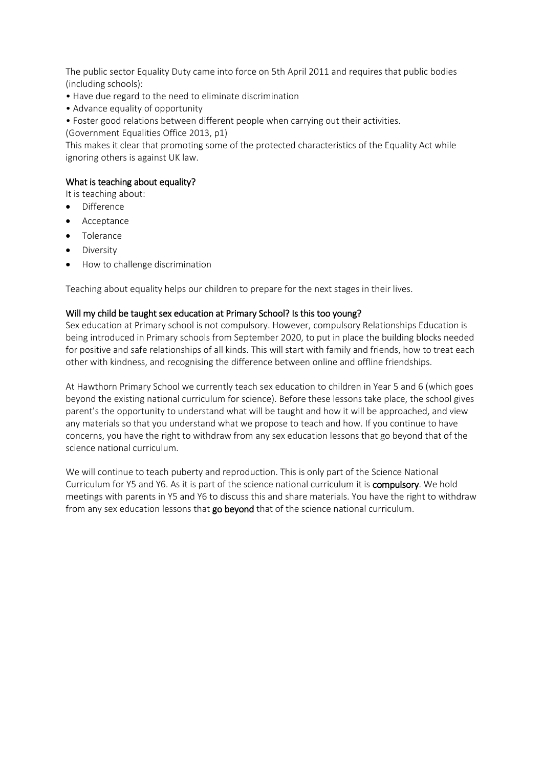The public sector Equality Duty came into force on 5th April 2011 and requires that public bodies (including schools):

- Have due regard to the need to eliminate discrimination
- Advance equality of opportunity
- Foster good relations between different people when carrying out their activities.
- (Government Equalities Office 2013, p1)

This makes it clear that promoting some of the protected characteristics of the Equality Act while ignoring others is against UK law.

### What is teaching about equality?

It is teaching about:

- Difference
- Acceptance
- **•** Tolerance
- Diversity
- How to challenge discrimination

Teaching about equality helps our children to prepare for the next stages in their lives.

#### Will my child be taught sex education at Primary School? Is this too young?

Sex education at Primary school is not compulsory. However, compulsory Relationships Education is being introduced in Primary schools from September 2020, to put in place the building blocks needed for positive and safe relationships of all kinds. This will start with family and friends, how to treat each other with kindness, and recognising the difference between online and offline friendships.

At Hawthorn Primary School we currently teach sex education to children in Year 5 and 6 (which goes beyond the existing national curriculum for science). Before these lessons take place, the school gives parent's the opportunity to understand what will be taught and how it will be approached, and view any materials so that you understand what we propose to teach and how. If you continue to have concerns, you have the right to withdraw from any sex education lessons that go beyond that of the science national curriculum.

We will continue to teach puberty and reproduction. This is only part of the Science National Curriculum for Y5 and Y6. As it is part of the science national curriculum it is compulsory. We hold meetings with parents in Y5 and Y6 to discuss this and share materials. You have the right to withdraw from any sex education lessons that go beyond that of the science national curriculum.